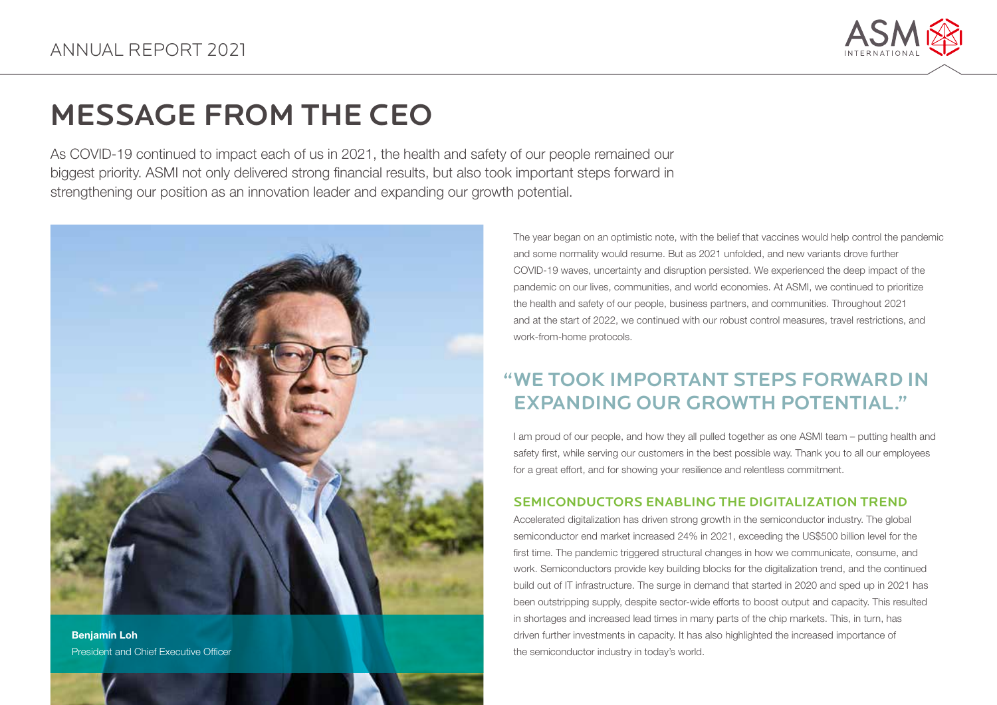

# MESSAGE FROM THE CEO

As COVID-19 continued to impact each of us in 2021, the health and safety of our people remained our biggest priority. ASMI not only delivered strong financial results, but also took important steps forward in strengthening our position as an innovation leader and expanding our growth potential.



Benjamin Loh President and Chief Executive Officer The year began on an optimistic note, with the belief that vaccines would help control the pandemic and some normality would resume. But as 2021 unfolded, and new variants drove further COVID-19 waves, uncertainty and disruption persisted. We experienced the deep impact of the pandemic on our lives, communities, and world economies. At ASMI, we continued to prioritize the health and safety of our people, business partners, and communities. Throughout 2021 and at the start of 2022, we continued with our robust control measures, travel restrictions, and work-from-home protocols.

# " WE TOOK IMPORTANT STEPS FORWARD IN EXPANDING OUR GROWTH POTENTIAL."

I am proud of our people, and how they all pulled together as one ASMI team – putting health and safety first, while serving our customers in the best possible way. Thank you to all our employees for a great effort, and for showing your resilience and relentless commitment.

## SEMICONDUCTORS ENABLING THE DIGITALIZATION TREND

Accelerated digitalization has driven strong growth in the semiconductor industry. The global semiconductor end market increased 24% in 2021, exceeding the US\$500 billion level for the first time. The pandemic triggered structural changes in how we communicate, consume, and work. Semiconductors provide key building blocks for the digitalization trend, and the continued build out of IT infrastructure. The surge in demand that started in 2020 and sped up in 2021 has been outstripping supply, despite sector-wide efforts to boost output and capacity. This resulted in shortages and increased lead times in many parts of the chip markets. This, in turn, has driven further investments in capacity. It has also highlighted the increased importance of the semiconductor industry in today's world.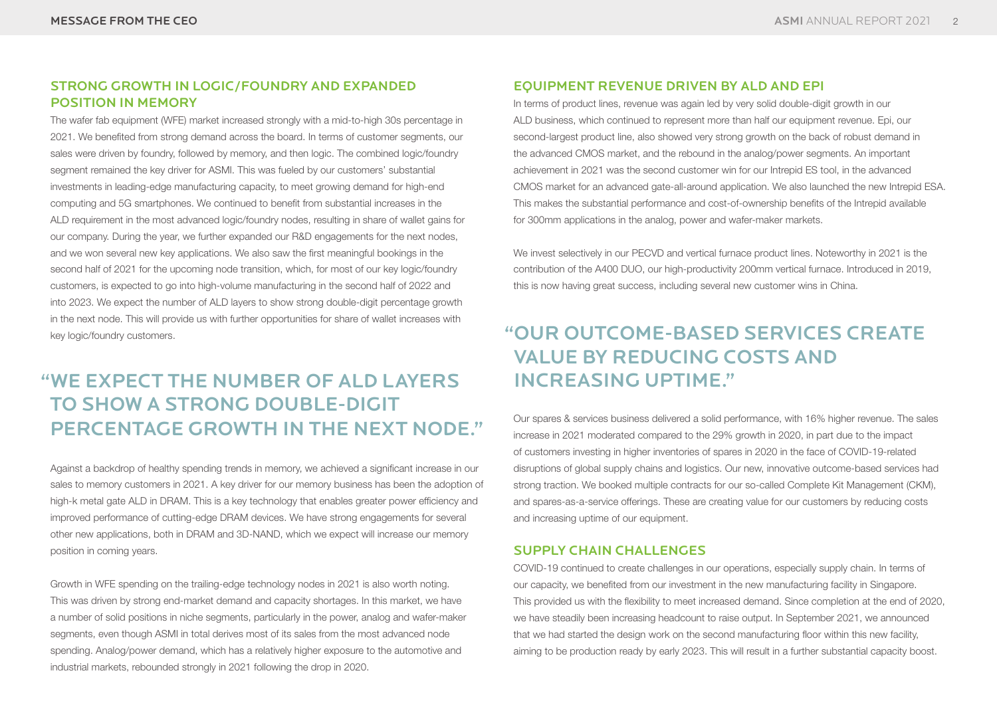### STRONG GROWTH IN LOGIC/FOUNDRY AND EXPANDED POSITION IN MEMORY

The wafer fab equipment (WFE) market increased strongly with a mid-to-high 30s percentage in 2021. We benefited from strong demand across the board. In terms of customer segments, our sales were driven by foundry, followed by memory, and then logic. The combined logic/foundry segment remained the key driver for ASMI. This was fueled by our customers' substantial investments in leading-edge manufacturing capacity, to meet growing demand for high-end computing and 5G smartphones. We continued to benefit from substantial increases in the ALD requirement in the most advanced logic/foundry nodes, resulting in share of wallet gains for our company. During the year, we further expanded our R&D engagements for the next nodes, and we won several new key applications. We also saw the first meaningful bookings in the second half of 2021 for the upcoming node transition, which, for most of our key logic/foundry customers, is expected to go into high-volume manufacturing in the second half of 2022 and into 2023. We expect the number of ALD layers to show strong double-digit percentage growth in the next node. This will provide us with further opportunities for share of wallet increases with key logic/foundry customers.

# "WE EXPECT THE NUMBER OF ALD LAYERS TO SHOW A STRONG DOUBLE-DIGIT PERCENTAGE GROWTH IN THE NEXT NODE."

Against a backdrop of healthy spending trends in memory, we achieved a significant increase in our sales to memory customers in 2021. A key driver for our memory business has been the adoption of high-k metal gate ALD in DRAM. This is a key technology that enables greater power efficiency and improved performance of cutting-edge DRAM devices. We have strong engagements for several other new applications, both in DRAM and 3D-NAND, which we expect will increase our memory position in coming years.

Growth in WFE spending on the trailing-edge technology nodes in 2021 is also worth noting. This was driven by strong end-market demand and capacity shortages. In this market, we have a number of solid positions in niche segments, particularly in the power, analog and wafer-maker segments, even though ASMI in total derives most of its sales from the most advanced node spending. Analog/power demand, which has a relatively higher exposure to the automotive and industrial markets, rebounded strongly in 2021 following the drop in 2020.

### EQUIPMENT REVENUE DRIVEN BY ALD AND EPI

In terms of product lines, revenue was again led by very solid double-digit growth in our ALD business, which continued to represent more than half our equipment revenue. Epi, our second-largest product line, also showed very strong growth on the back of robust demand in the advanced CMOS market, and the rebound in the analog/power segments. An important achievement in 2021 was the second customer win for our Intrepid ES tool, in the advanced CMOS market for an advanced gate-all-around application. We also launched the new Intrepid ESA. This makes the substantial performance and cost-of-ownership benefits of the Intrepid available for 300mm applications in the analog, power and wafer-maker markets.

We invest selectively in our PECVD and vertical furnace product lines. Noteworthy in 2021 is the contribution of the A400 DUO, our high-productivity 200mm vertical furnace. Introduced in 2019, this is now having great success, including several new customer wins in China.

# "OUR OUTCOME-BASED SERVICES CREATE INCREASING UPTIME." VALUE BY REDUCING COSTS AND

Our spares & services business delivered a solid performance, with 16% higher revenue. The sales increase in 2021 moderated compared to the 29% growth in 2020, in part due to the impact of customers investing in higher inventories of spares in 2020 in the face of COVID-19-related disruptions of global supply chains and logistics. Our new, innovative outcome-based services had strong traction. We booked multiple contracts for our so-called Complete Kit Management (CKM), and spares-as-a-service offerings. These are creating value for our customers by reducing costs and increasing uptime of our equipment.

### SUPPLY CHAIN CHALLENGES

COVID-19 continued to create challenges in our operations, especially supply chain. In terms of our capacity, we benefited from our investment in the new manufacturing facility in Singapore. This provided us with the flexibility to meet increased demand. Since completion at the end of 2020, we have steadily been increasing headcount to raise output. In September 2021, we announced that we had started the design work on the second manufacturing floor within this new facility, aiming to be production ready by early 2023. This will result in a further substantial capacity boost.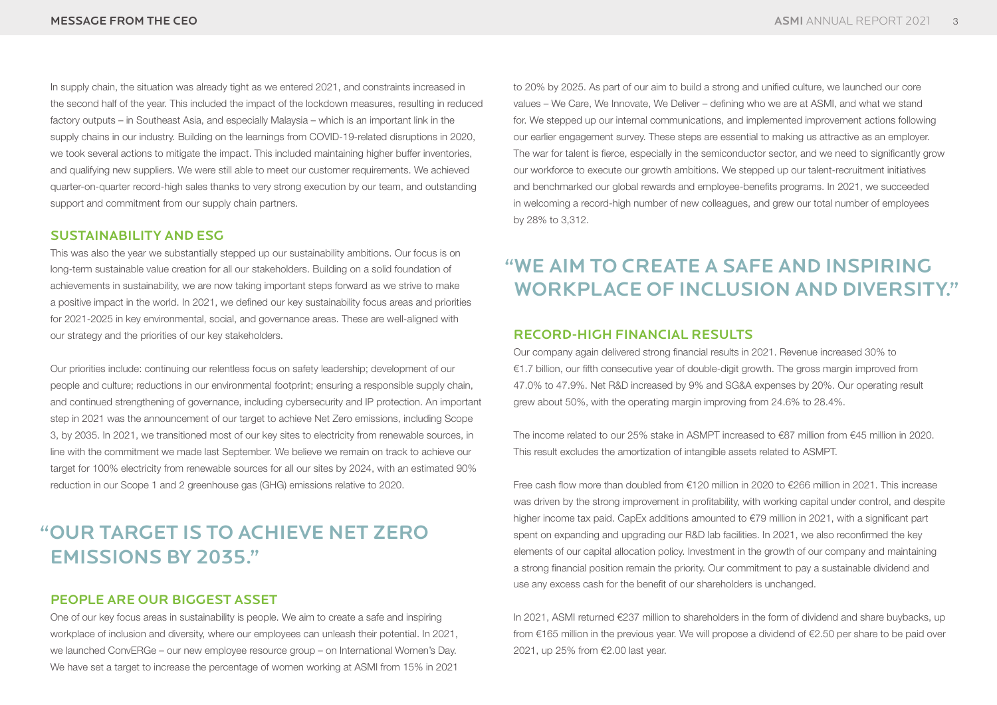In supply chain, the situation was already tight as we entered 2021, and constraints increased in the second half of the year. This included the impact of the lockdown measures, resulting in reduced factory outputs – in Southeast Asia, and especially Malaysia – which is an important link in the supply chains in our industry. Building on the learnings from COVID-19-related disruptions in 2020, we took several actions to mitigate the impact. This included maintaining higher buffer inventories, and qualifying new suppliers. We were still able to meet our customer requirements. We achieved quarter-on-quarter record-high sales thanks to very strong execution by our team, and outstanding support and commitment from our supply chain partners.

#### SUSTAINABILITY AND ESG

This was also the year we substantially stepped up our sustainability ambitions. Our focus is on long-term sustainable value creation for all our stakeholders. Building on a solid foundation of achievements in sustainability, we are now taking important steps forward as we strive to make a positive impact in the world. In 2021, we defined our key sustainability focus areas and priorities for 2021-2025 in key environmental, social, and governance areas. These are well-aligned with our strategy and the priorities of our key stakeholders.

Our priorities include: continuing our relentless focus on safety leadership; development of our people and culture; reductions in our environmental footprint; ensuring a responsible supply chain, and continued strengthening of governance, including cybersecurity and IP protection. An important step in 2021 was the announcement of our target to achieve Net Zero emissions, including Scope 3, by 2035. In 2021, we transitioned most of our key sites to electricity from renewable sources, in line with the commitment we made last September. We believe we remain on track to achieve our target for 100% electricity from renewable sources for all our sites by 2024, with an estimated 90% reduction in our Scope 1 and 2 greenhouse gas (GHG) emissions relative to 2020.

# "OUR TARGET IS TO ACHIEVE NET ZERO EMISSIONS BY 2035."

### PEOPLE ARE OUR BIGGEST ASSET

One of our key focus areas in sustainability is people. We aim to create a safe and inspiring workplace of inclusion and diversity, where our employees can unleash their potential. In 2021, we launched ConvERGe – our new employee resource group – on International Women's Day. We have set a target to increase the percentage of women working at ASMI from 15% in 2021

to 20% by 2025. As part of our aim to build a strong and unified culture, we launched our core values – We Care, We Innovate, We Deliver – defining who we are at ASMI, and what we stand for. We stepped up our internal communications, and implemented improvement actions following our earlier engagement survey. These steps are essential to making us attractive as an employer. The war for talent is fierce, especially in the semiconductor sector, and we need to significantly grow our workforce to execute our growth ambitions. We stepped up our talent-recruitment initiatives and benchmarked our global rewards and employee-benefits programs. In 2021, we succeeded in welcoming a record-high number of new colleagues, and grew our total number of employees by 28% to 3,312.

# "WE AIM TO CREATE A SAFE AND INSPIRING WORKPLACE OF INCLUSION AND DIVERSITY."

#### RECORD-HIGH FINANCIAL RESULTS

Our company again delivered strong financial results in 2021. Revenue increased 30% to  $€1.7$  billion, our fifth consecutive year of double-digit growth. The gross margin improved from 47.0% to 47.9%. Net R&D increased by 9% and SG&A expenses by 20%. Our operating result grew about 50%, with the operating margin improving from 24.6% to 28.4%.

The income related to our 25% stake in ASMPT increased to €87 million from €45 million in 2020. This result excludes the amortization of intangible assets related to ASMPT.

Free cash flow more than doubled from €120 million in 2020 to €266 million in 2021. This increase was driven by the strong improvement in profitability, with working capital under control, and despite higher income tax paid. CapEx additions amounted to  $E$ 79 million in 2021, with a significant part spent on expanding and upgrading our R&D lab facilities. In 2021, we also reconfirmed the key elements of our capital allocation policy. Investment in the growth of our company and maintaining a strong financial position remain the priority. Our commitment to pay a sustainable dividend and use any excess cash for the benefit of our shareholders is unchanged.

In 2021, ASMI returned €237 million to shareholders in the form of dividend and share buybacks, up from €165 million in the previous year. We will propose a dividend of €2.50 per share to be paid over 2021, up 25% from €2.00 last year.